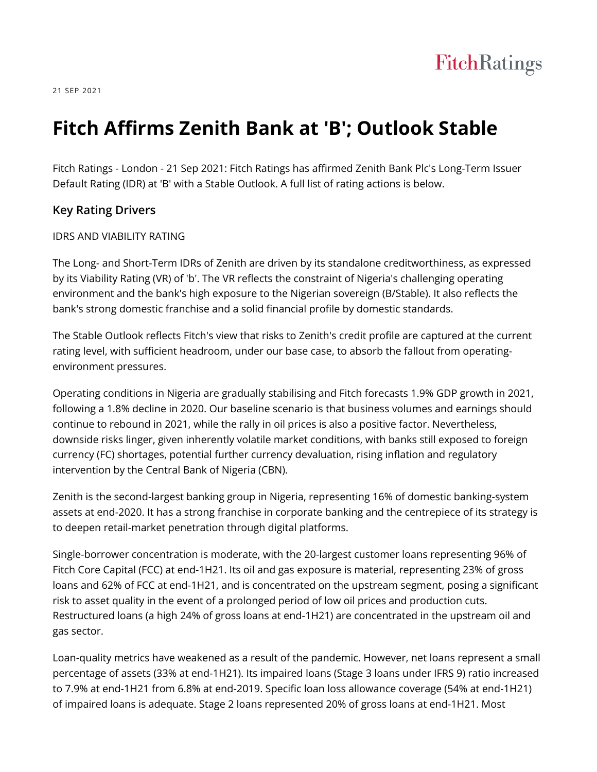

21 SEP 2021

# **Fitch Affirms Zenith Bank at 'B'; Outlook Stable**

Fitch Ratings - London - 21 Sep 2021: Fitch Ratings has affirmed Zenith Bank Plc's Long-Term Issuer Default Rating (IDR) at 'B' with a Stable Outlook. A full list of rating actions is below.

#### **Key Rating Drivers**

#### IDRS AND VIABILITY RATING

The Long- and Short-Term IDRs of Zenith are driven by its standalone creditworthiness, as expressed by its Viability Rating (VR) of 'b'. The VR reflects the constraint of Nigeria's challenging operating environment and the bank's high exposure to the Nigerian sovereign (B/Stable). It also reflects the bank's strong domestic franchise and a solid financial profile by domestic standards.

The Stable Outlook reflects Fitch's view that risks to Zenith's credit profile are captured at the current rating level, with sufficient headroom, under our base case, to absorb the fallout from operatingenvironment pressures.

Operating conditions in Nigeria are gradually stabilising and Fitch forecasts 1.9% GDP growth in 2021, following a 1.8% decline in 2020. Our baseline scenario is that business volumes and earnings should continue to rebound in 2021, while the rally in oil prices is also a positive factor. Nevertheless, downside risks linger, given inherently volatile market conditions, with banks still exposed to foreign currency (FC) shortages, potential further currency devaluation, rising inflation and regulatory intervention by the Central Bank of Nigeria (CBN).

Zenith is the second-largest banking group in Nigeria, representing 16% of domestic banking-system assets at end-2020. It has a strong franchise in corporate banking and the centrepiece of its strategy is to deepen retail-market penetration through digital platforms.

Single-borrower concentration is moderate, with the 20-largest customer loans representing 96% of Fitch Core Capital (FCC) at end-1H21. Its oil and gas exposure is material, representing 23% of gross loans and 62% of FCC at end-1H21, and is concentrated on the upstream segment, posing a significant risk to asset quality in the event of a prolonged period of low oil prices and production cuts. Restructured loans (a high 24% of gross loans at end-1H21) are concentrated in the upstream oil and gas sector.

Loan-quality metrics have weakened as a result of the pandemic. However, net loans represent a small percentage of assets (33% at end-1H21). Its impaired loans (Stage 3 loans under IFRS 9) ratio increased to 7.9% at end-1H21 from 6.8% at end-2019. Specific loan loss allowance coverage (54% at end-1H21) of impaired loans is adequate. Stage 2 loans represented 20% of gross loans at end-1H21. Most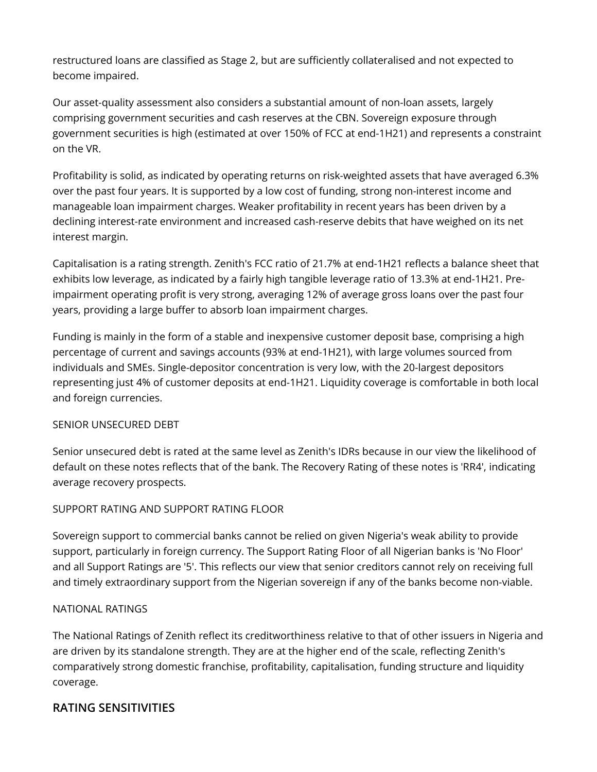restructured loans are classified as Stage 2, but are sufficiently collateralised and not expected to become impaired.

Our asset-quality assessment also considers a substantial amount of non-loan assets, largely comprising government securities and cash reserves at the CBN. Sovereign exposure through government securities is high (estimated at over 150% of FCC at end-1H21) and represents a constraint on the VR.

Profitability is solid, as indicated by operating returns on risk-weighted assets that have averaged 6.3% over the past four years. It is supported by a low cost of funding, strong non-interest income and manageable loan impairment charges. Weaker profitability in recent years has been driven by a declining interest-rate environment and increased cash-reserve debits that have weighed on its net interest margin.

Capitalisation is a rating strength. Zenith's FCC ratio of 21.7% at end-1H21 reflects a balance sheet that exhibits low leverage, as indicated by a fairly high tangible leverage ratio of 13.3% at end-1H21. Preimpairment operating profit is very strong, averaging 12% of average gross loans over the past four years, providing a large buffer to absorb loan impairment charges.

Funding is mainly in the form of a stable and inexpensive customer deposit base, comprising a high percentage of current and savings accounts (93% at end-1H21), with large volumes sourced from individuals and SMEs. Single-depositor concentration is very low, with the 20-largest depositors representing just 4% of customer deposits at end-1H21. Liquidity coverage is comfortable in both local and foreign currencies.

#### SENIOR UNSECURED DEBT

Senior unsecured debt is rated at the same level as Zenith's IDRs because in our view the likelihood of default on these notes reflects that of the bank. The Recovery Rating of these notes is 'RR4', indicating average recovery prospects.

## SUPPORT RATING AND SUPPORT RATING FLOOR

Sovereign support to commercial banks cannot be relied on given Nigeria's weak ability to provide support, particularly in foreign currency. The Support Rating Floor of all Nigerian banks is 'No Floor' and all Support Ratings are '5'. This reflects our view that senior creditors cannot rely on receiving full and timely extraordinary support from the Nigerian sovereign if any of the banks become non-viable.

#### NATIONAL RATINGS

The National Ratings of Zenith reflect its creditworthiness relative to that of other issuers in Nigeria and are driven by its standalone strength. They are at the higher end of the scale, reflecting Zenith's comparatively strong domestic franchise, profitability, capitalisation, funding structure and liquidity coverage.

## **RATING SENSITIVITIES**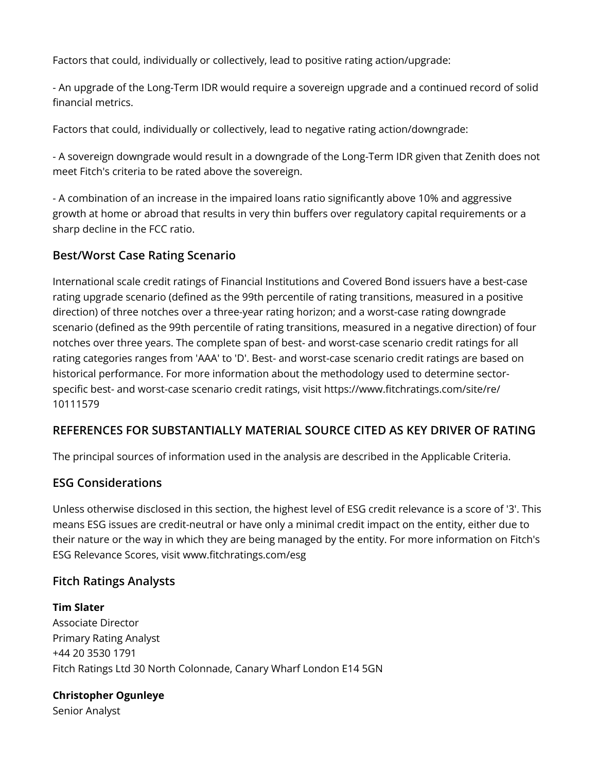Factors that could, individually or collectively, lead to positive rating action/upgrade:

- An upgrade of the Long-Term IDR would require a sovereign upgrade and a continued record of solid financial metrics.

Factors that could, individually or collectively, lead to negative rating action/downgrade:

- A sovereign downgrade would result in a downgrade of the Long-Term IDR given that Zenith does not meet Fitch's criteria to be rated above the sovereign.

- A combination of an increase in the impaired loans ratio significantly above 10% and aggressive growth at home or abroad that results in very thin buffers over regulatory capital requirements or a sharp decline in the FCC ratio.

# **Best/Worst Case Rating Scenario**

International scale credit ratings of Financial Institutions and Covered Bond issuers have a best-case rating upgrade scenario (defined as the 99th percentile of rating transitions, measured in a positive direction) of three notches over a three-year rating horizon; and a worst-case rating downgrade scenario (defined as the 99th percentile of rating transitions, measured in a negative direction) of four notches over three years. The complete span of best- and worst-case scenario credit ratings for all rating categories ranges from 'AAA' to 'D'. Best- and worst-case scenario credit ratings are based on historical performance. For more information about the methodology used to determine sectorspecific best- and worst-case scenario credit ratings, visit https://www.fitchratings.com/site/re/ 10111579

# **REFERENCES FOR SUBSTANTIALLY MATERIAL SOURCE CITED AS KEY DRIVER OF RATING**

The principal sources of information used in the analysis are described in the Applicable Criteria.

# **ESG Considerations**

Unless otherwise disclosed in this section, the highest level of ESG credit relevance is a score of '3'. This means ESG issues are credit-neutral or have only a minimal credit impact on the entity, either due to their nature or the way in which they are being managed by the entity. For more information on Fitch's ESG Relevance Scores, visit www.fitchratings.com/esg

# **Fitch Ratings Analysts**

**Tim Slater** Associate Director Primary Rating Analyst +44 20 3530 1791 Fitch Ratings Ltd 30 North Colonnade, Canary Wharf London E14 5GN

#### **Christopher Ogunleye**

Senior Analyst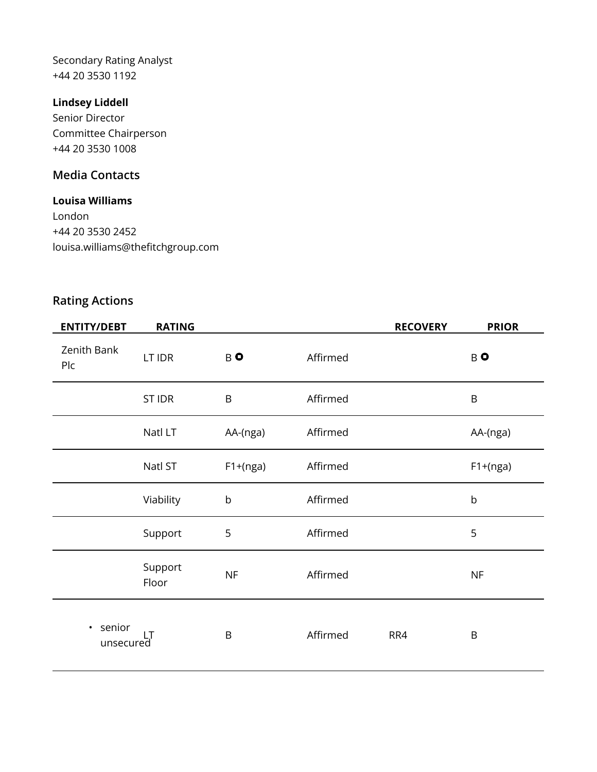Secondary Rating Analyst +44 20 3530 1192

## **Lindsey Liddell**

Senior Director Committee Chairperson +44 20 3530 1008

# **Media Contacts**

#### **Louisa Williams**

London +44 20 3530 2452 louisa.williams@thefitchgroup.com

# **Rating Actions**

| <b>ENTITY/DEBT</b>               | <b>RATING</b>    |             |          | <b>RECOVERY</b> | <b>PRIOR</b> |
|----------------------------------|------------------|-------------|----------|-----------------|--------------|
| Zenith Bank<br>Plc               | LT IDR           | BO          | Affirmed |                 | $B$ O        |
|                                  | <b>ST IDR</b>    | $\mathsf B$ | Affirmed |                 | B            |
|                                  | Natl LT          | AA-(nga)    | Affirmed |                 | AA-(nga)     |
|                                  | Natl ST          | $F1+(nga)$  | Affirmed |                 | $F1+(nga)$   |
|                                  | Viability        | $\mathsf b$ | Affirmed |                 | $\mathsf b$  |
|                                  | Support          | 5           | Affirmed |                 | 5            |
|                                  | Support<br>Floor | <b>NF</b>   | Affirmed |                 | NF           |
| senior<br>$\bullet$<br>unsecured |                  | B           | Affirmed | RR4             | $\sf B$      |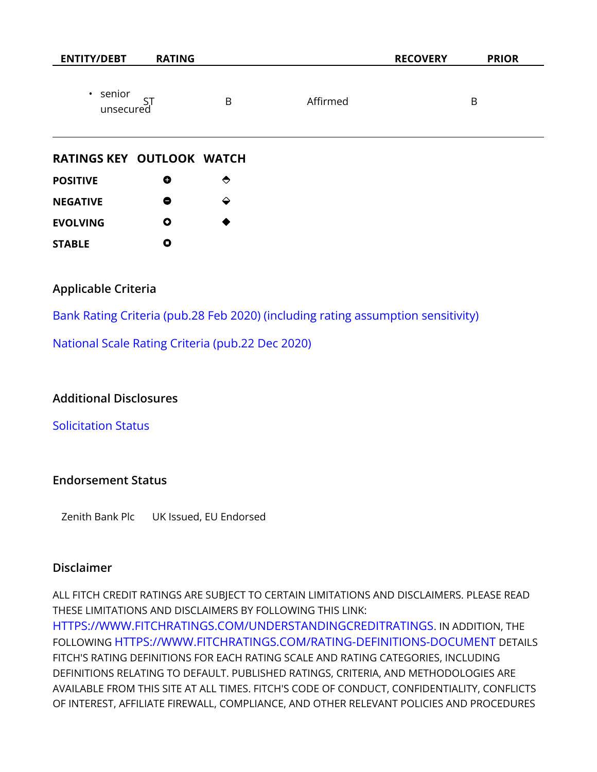| <b>ENTITY/DEBT</b>          | <b>RATING</b> |   |          | <b>RECOVERY</b> | <b>PRIOR</b> |
|-----------------------------|---------------|---|----------|-----------------|--------------|
| $\cdot$ senior<br>unsecured |               | B | Affirmed |                 | B            |

#### **RATINGS KEY OUTLOOK WATCH**

| <b>POSITIVE</b> | O | $\leftrightarrow$ |
|-----------------|---|-------------------|
| <b>NEGATIVE</b> | 8 | ↩                 |
| <b>EVOLVING</b> | Ο | ●                 |
| <b>STABLE</b>   | O |                   |

## **Applicable Criteria**

[Bank Rating Criteria \(pub.28 Feb 2020\) \(including rating assumption sensitivity\)](https://app.fitchconnect.com/search/research/article/RPT_10110041)

[National Scale Rating Criteria \(pub.22 Dec 2020\)](https://app.fitchconnect.com/search/research/article/RPT_10146648)

## **Additional Disclosures**

[Solicitation Status](https://www.fitchratings.com/research/banks/fitch-affirms-zenith-bank-at-b-outlook-stable-21-09-2021#solicitation-status)

#### **Endorsement Status**

Zenith Bank Plc UK Issued, EU Endorsed

#### **Disclaimer**

ALL FITCH CREDIT RATINGS ARE SUBJECT TO CERTAIN LIMITATIONS AND DISCLAIMERS. PLEASE READ THESE LIMITATIONS AND DISCLAIMERS BY FOLLOWING THIS LINK: [HTTPS://WWW.FITCHRATINGS.COM/UNDERSTANDINGCREDITRATINGS](https://www.fitchratings.com/UNDERSTANDINGCREDITRATINGS). IN ADDITION, THE FOLLOWING [HTTPS://WWW.FITCHRATINGS.COM/RATING-DEFINITIONS-DOCUMENT](https://www.fitchratings.com/rating-definitions-document) DETAILS FITCH'S RATING DEFINITIONS FOR EACH RATING SCALE AND RATING CATEGORIES, INCLUDING DEFINITIONS RELATING TO DEFAULT. PUBLISHED RATINGS, CRITERIA, AND METHODOLOGIES ARE AVAILABLE FROM THIS SITE AT ALL TIMES. FITCH'S CODE OF CONDUCT, CONFIDENTIALITY, CONFLICTS OF INTEREST, AFFILIATE FIREWALL, COMPLIANCE, AND OTHER RELEVANT POLICIES AND PROCEDURES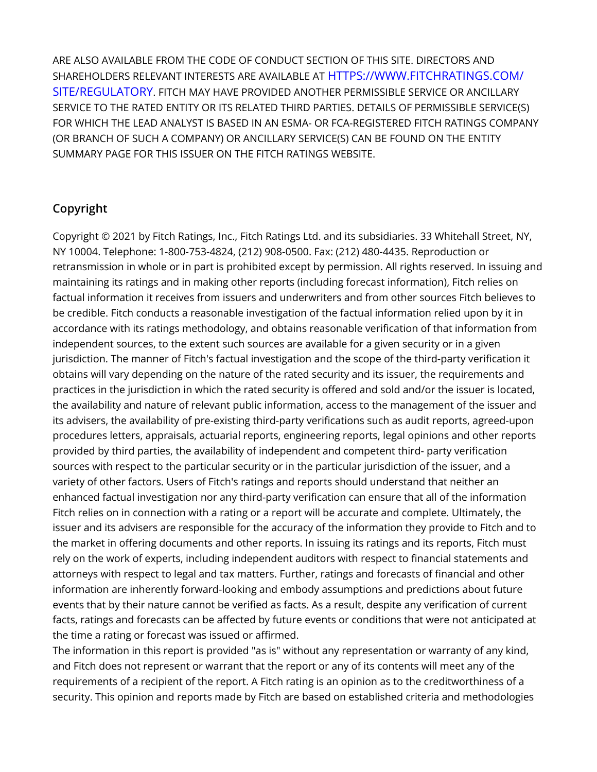ARE ALSO AVAILABLE FROM THE CODE OF CONDUCT SECTION OF THIS SITE. DIRECTORS AND SHAREHOLDERS RELEVANT INTERESTS ARE AVAILABLE AT [HTTPS://WWW.FITCHRATINGS.COM/](https://www.fitchratings.com/site/regulatory) [SITE/REGULATORY](https://www.fitchratings.com/site/regulatory). FITCH MAY HAVE PROVIDED ANOTHER PERMISSIBLE SERVICE OR ANCILLARY SERVICE TO THE RATED ENTITY OR ITS RELATED THIRD PARTIES. DETAILS OF PERMISSIBLE SERVICE(S) FOR WHICH THE LEAD ANALYST IS BASED IN AN ESMA- OR FCA-REGISTERED FITCH RATINGS COMPANY (OR BRANCH OF SUCH A COMPANY) OR ANCILLARY SERVICE(S) CAN BE FOUND ON THE ENTITY SUMMARY PAGE FOR THIS ISSUER ON THE FITCH RATINGS WEBSITE.

# **Copyright**

Copyright © 2021 by Fitch Ratings, Inc., Fitch Ratings Ltd. and its subsidiaries. 33 Whitehall Street, NY, NY 10004. Telephone: 1-800-753-4824, (212) 908-0500. Fax: (212) 480-4435. Reproduction or retransmission in whole or in part is prohibited except by permission. All rights reserved. In issuing and maintaining its ratings and in making other reports (including forecast information), Fitch relies on factual information it receives from issuers and underwriters and from other sources Fitch believes to be credible. Fitch conducts a reasonable investigation of the factual information relied upon by it in accordance with its ratings methodology, and obtains reasonable verification of that information from independent sources, to the extent such sources are available for a given security or in a given jurisdiction. The manner of Fitch's factual investigation and the scope of the third-party verification it obtains will vary depending on the nature of the rated security and its issuer, the requirements and practices in the jurisdiction in which the rated security is offered and sold and/or the issuer is located, the availability and nature of relevant public information, access to the management of the issuer and its advisers, the availability of pre-existing third-party verifications such as audit reports, agreed-upon procedures letters, appraisals, actuarial reports, engineering reports, legal opinions and other reports provided by third parties, the availability of independent and competent third- party verification sources with respect to the particular security or in the particular jurisdiction of the issuer, and a variety of other factors. Users of Fitch's ratings and reports should understand that neither an enhanced factual investigation nor any third-party verification can ensure that all of the information Fitch relies on in connection with a rating or a report will be accurate and complete. Ultimately, the issuer and its advisers are responsible for the accuracy of the information they provide to Fitch and to the market in offering documents and other reports. In issuing its ratings and its reports, Fitch must rely on the work of experts, including independent auditors with respect to financial statements and attorneys with respect to legal and tax matters. Further, ratings and forecasts of financial and other information are inherently forward-looking and embody assumptions and predictions about future events that by their nature cannot be verified as facts. As a result, despite any verification of current facts, ratings and forecasts can be affected by future events or conditions that were not anticipated at the time a rating or forecast was issued or affirmed.

The information in this report is provided "as is" without any representation or warranty of any kind, and Fitch does not represent or warrant that the report or any of its contents will meet any of the requirements of a recipient of the report. A Fitch rating is an opinion as to the creditworthiness of a security. This opinion and reports made by Fitch are based on established criteria and methodologies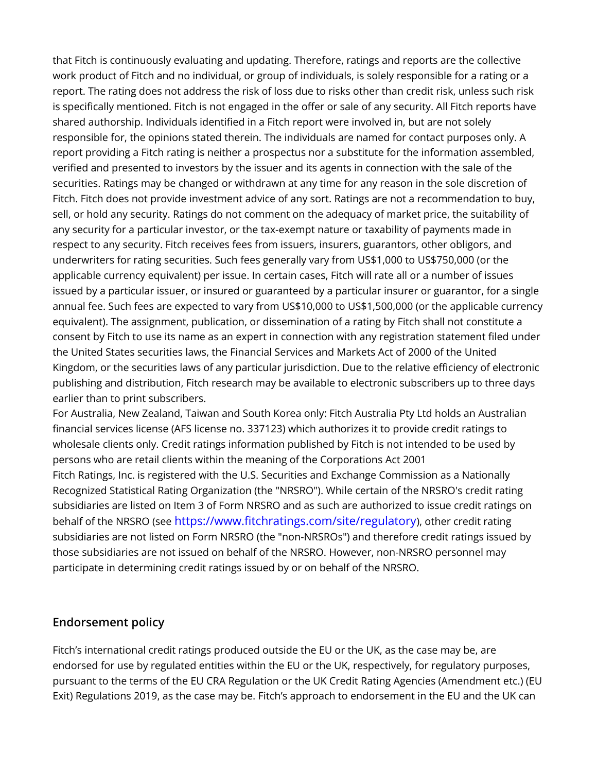that Fitch is continuously evaluating and updating. Therefore, ratings and reports are the collective work product of Fitch and no individual, or group of individuals, is solely responsible for a rating or a report. The rating does not address the risk of loss due to risks other than credit risk, unless such risk is specifically mentioned. Fitch is not engaged in the offer or sale of any security. All Fitch reports have shared authorship. Individuals identified in a Fitch report were involved in, but are not solely responsible for, the opinions stated therein. The individuals are named for contact purposes only. A report providing a Fitch rating is neither a prospectus nor a substitute for the information assembled, verified and presented to investors by the issuer and its agents in connection with the sale of the securities. Ratings may be changed or withdrawn at any time for any reason in the sole discretion of Fitch. Fitch does not provide investment advice of any sort. Ratings are not a recommendation to buy, sell, or hold any security. Ratings do not comment on the adequacy of market price, the suitability of any security for a particular investor, or the tax-exempt nature or taxability of payments made in respect to any security. Fitch receives fees from issuers, insurers, guarantors, other obligors, and underwriters for rating securities. Such fees generally vary from US\$1,000 to US\$750,000 (or the applicable currency equivalent) per issue. In certain cases, Fitch will rate all or a number of issues issued by a particular issuer, or insured or guaranteed by a particular insurer or guarantor, for a single annual fee. Such fees are expected to vary from US\$10,000 to US\$1,500,000 (or the applicable currency equivalent). The assignment, publication, or dissemination of a rating by Fitch shall not constitute a consent by Fitch to use its name as an expert in connection with any registration statement filed under the United States securities laws, the Financial Services and Markets Act of 2000 of the United Kingdom, or the securities laws of any particular jurisdiction. Due to the relative efficiency of electronic publishing and distribution, Fitch research may be available to electronic subscribers up to three days earlier than to print subscribers.

For Australia, New Zealand, Taiwan and South Korea only: Fitch Australia Pty Ltd holds an Australian financial services license (AFS license no. 337123) which authorizes it to provide credit ratings to wholesale clients only. Credit ratings information published by Fitch is not intended to be used by persons who are retail clients within the meaning of the Corporations Act 2001 Fitch Ratings, Inc. is registered with the U.S. Securities and Exchange Commission as a Nationally Recognized Statistical Rating Organization (the "NRSRO"). While certain of the NRSRO's credit rating subsidiaries are listed on Item 3 of Form NRSRO and as such are authorized to issue credit ratings on behalf of the NRSRO (see <https://www.fitchratings.com/site/regulatory>), other credit rating subsidiaries are not listed on Form NRSRO (the "non-NRSROs") and therefore credit ratings issued by those subsidiaries are not issued on behalf of the NRSRO. However, non-NRSRO personnel may participate in determining credit ratings issued by or on behalf of the NRSRO.

# **Endorsement policy**

Fitch's international credit ratings produced outside the EU or the UK, as the case may be, are endorsed for use by regulated entities within the EU or the UK, respectively, for regulatory purposes, pursuant to the terms of the EU CRA Regulation or the UK Credit Rating Agencies (Amendment etc.) (EU Exit) Regulations 2019, as the case may be. Fitch's approach to endorsement in the EU and the UK can